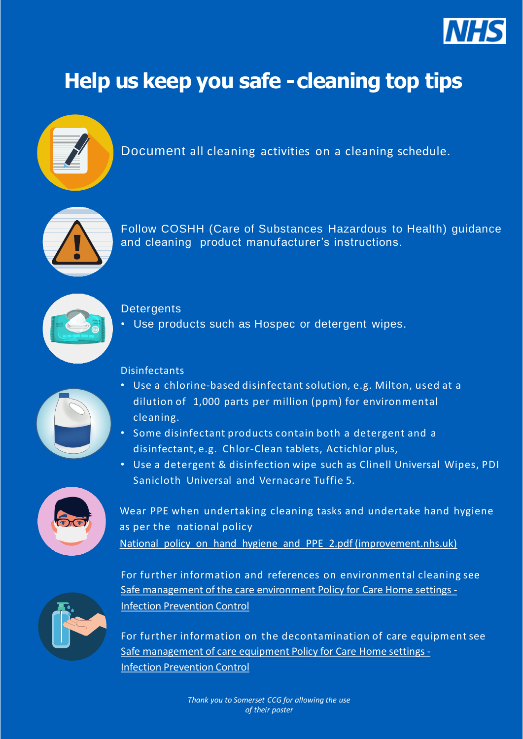### Disinfectants



- Use a chlorine-based disinfectant solution, e.g. Milton, used at a dilution of 1,000 parts per million (ppm) for environmental cleaning.
	-
- Some disinfectant products contain both a detergent and a disinfectant, e.g. Chlor-Clean tablets, Actichlor plus,
- Use a detergent & disinfection wipe such as Clinell Universal Wipes, PDI Sanicloth Universal and Vernacare Tuffie 5.

Wear PPE when undertaking cleaning tasks and undertake hand hygiene as per the national policy National policy on hand hygiene and PPE 2.pdf (improvement.nhs.uk)



## **Help us keep you safe -cleaning top tips**



Document all cleaning activities on a cleaning schedule.



Follow COSHH (Care of Substances Hazardous to Health) guidance and cleaning product manufacturer's instructions.



### **Detergents**

• Use products such as Hospec or detergent wipes.

For further information and references on environmental cleaning see [Safe management of the care environment Policy for Care Home settings -](https://www.infectionpreventioncontrol.co.uk/resources/safe-management-of-the-care-environment-policy-for-care-home-settings/) Infection Prevention Control



For further information on the decontamination of care equipment see [Safe management of care equipment Policy for Care Home settings -](https://www.infectionpreventioncontrol.co.uk/resources/safe-management-of-care-equipment-policy-for-care-home-settings/) Infection Prevention Control

> *Thank you to Somerset CCG for allowing the use of their poster*